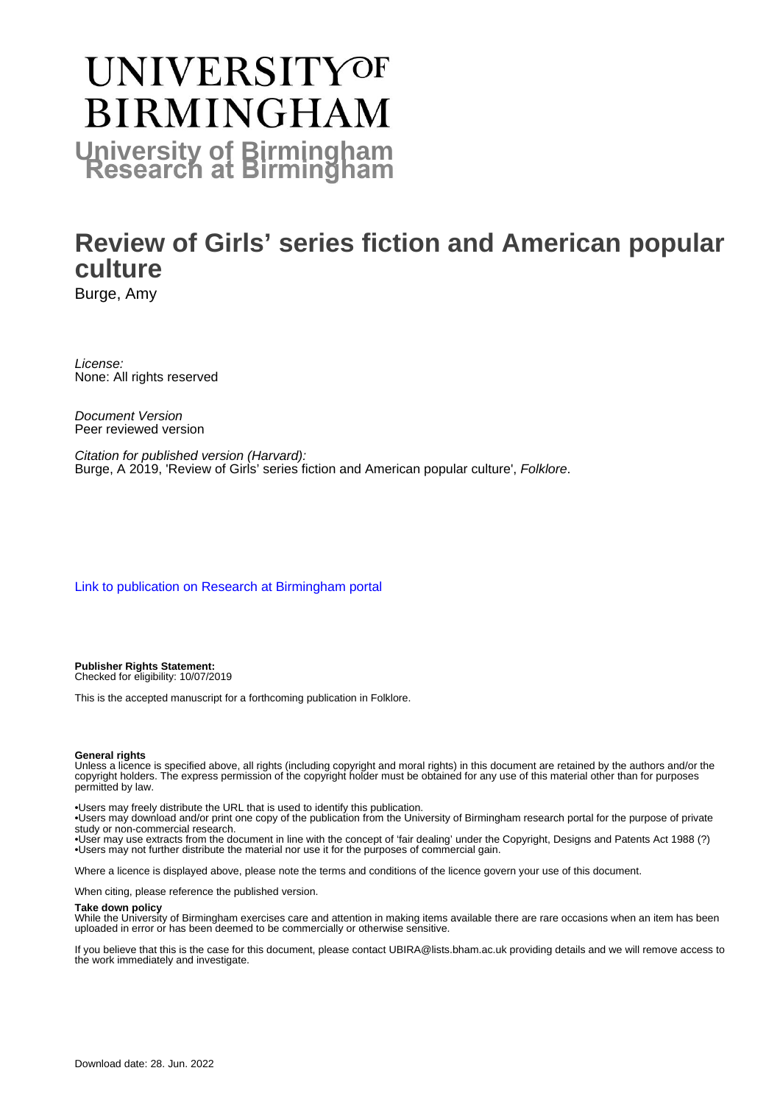## **UNIVERSITYOF BIRMINGHAM University of Birmingham**

## **Review of Girls' series fiction and American popular culture**

Burge, Amy

License: None: All rights reserved

Document Version Peer reviewed version

Citation for published version (Harvard): Burge, A 2019, 'Review of Girls' series fiction and American popular culture', Folklore.

[Link to publication on Research at Birmingham portal](https://birmingham.elsevierpure.com/en/publications/28781d14-7dc1-45c6-8e40-6ff37920c8f1)

**Publisher Rights Statement:** Checked for eligibility: 10/07/2019

This is the accepted manuscript for a forthcoming publication in Folklore.

## **General rights**

Unless a licence is specified above, all rights (including copyright and moral rights) in this document are retained by the authors and/or the copyright holders. The express permission of the copyright holder must be obtained for any use of this material other than for purposes permitted by law.

• Users may freely distribute the URL that is used to identify this publication.

• Users may download and/or print one copy of the publication from the University of Birmingham research portal for the purpose of private study or non-commercial research.

• User may use extracts from the document in line with the concept of 'fair dealing' under the Copyright, Designs and Patents Act 1988 (?) • Users may not further distribute the material nor use it for the purposes of commercial gain.

Where a licence is displayed above, please note the terms and conditions of the licence govern your use of this document.

When citing, please reference the published version.

## **Take down policy**

While the University of Birmingham exercises care and attention in making items available there are rare occasions when an item has been uploaded in error or has been deemed to be commercially or otherwise sensitive.

If you believe that this is the case for this document, please contact UBIRA@lists.bham.ac.uk providing details and we will remove access to the work immediately and investigate.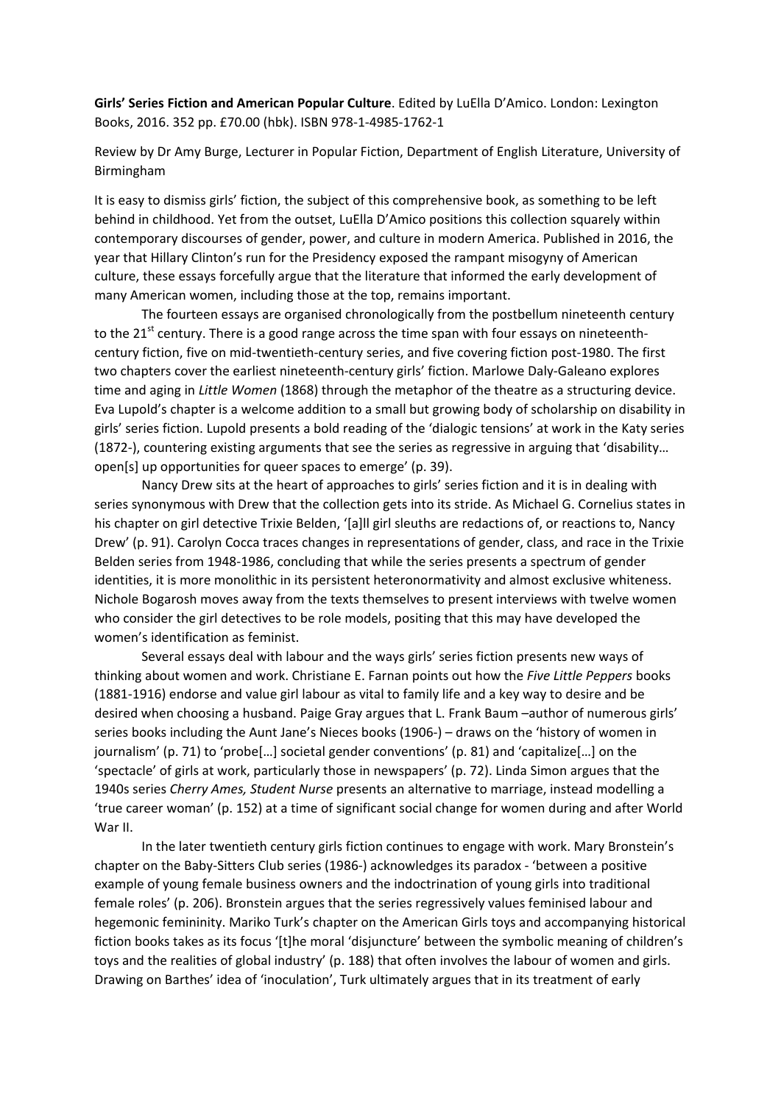**Girls' Series Fiction and American Popular Culture**. Edited by LuElla D'Amico. London: Lexington Books, 2016. 352 pp. £70.00 (hbk). ISBN 978‐1‐4985‐1762‐1

Review by Dr Amy Burge, Lecturer in Popular Fiction, Department of English Literature, University of Birmingham

It is easy to dismiss girls' fiction, the subject of this comprehensive book, as something to be left behind in childhood. Yet from the outset, LuElla D'Amico positions this collection squarely within contemporary discourses of gender, power, and culture in modern America. Published in 2016, the year that Hillary Clinton's run for the Presidency exposed the rampant misogyny of American culture, these essays forcefully argue that the literature that informed the early development of many American women, including those at the top, remains important.

The fourteen essays are organised chronologically from the postbellum nineteenth century to the 21 $^{\text{st}}$  century. There is a good range across the time span with four essays on nineteenthcentury fiction, five on mid‐twentieth‐century series, and five covering fiction post‐1980. The first two chapters cover the earliest nineteenth‐century girls' fiction. Marlowe Daly‐Galeano explores time and aging in *Little Women* (1868) through the metaphor of the theatre as a structuring device. Eva Lupold's chapter is a welcome addition to a small but growing body of scholarship on disability in girls' series fiction. Lupold presents a bold reading of the 'dialogic tensions' at work in the Katy series (1872‐), countering existing arguments that see the series as regressive in arguing that 'disability… open[s] up opportunities for queer spaces to emerge' (p. 39).

Nancy Drew sits at the heart of approaches to girls' series fiction and it is in dealing with series synonymous with Drew that the collection gets into its stride. As Michael G. Cornelius states in his chapter on girl detective Trixie Belden, '[a]ll girl sleuths are redactions of, or reactions to, Nancy Drew' (p. 91). Carolyn Cocca traces changes in representations of gender, class, and race in the Trixie Belden series from 1948‐1986, concluding that while the series presents a spectrum of gender identities, it is more monolithic in its persistent heteronormativity and almost exclusive whiteness. Nichole Bogarosh moves away from the texts themselves to present interviews with twelve women who consider the girl detectives to be role models, positing that this may have developed the women's identification as feminist.

Several essays deal with labour and the ways girls' series fiction presents new ways of thinking about women and work. Christiane E. Farnan points out how the *Five Little Peppers* books (1881‐1916) endorse and value girl labour as vital to family life and a key way to desire and be desired when choosing a husband. Paige Gray argues that L. Frank Baum –author of numerous girls' series books including the Aunt Jane's Nieces books (1906‐) – draws on the 'history of women in journalism' (p. 71) to 'probe[…] societal gender conventions' (p. 81) and 'capitalize[…] on the 'spectacle' of girls at work, particularly those in newspapers' (p. 72). Linda Simon argues that the 1940s series *Cherry Ames, Student Nurse* presents an alternative to marriage, instead modelling a 'true career woman' (p. 152) at a time of significant social change for women during and after World War II.

In the later twentieth century girls fiction continues to engage with work. Mary Bronstein's chapter on the Baby‐Sitters Club series (1986‐) acknowledges its paradox ‐ 'between a positive example of young female business owners and the indoctrination of young girls into traditional female roles' (p. 206). Bronstein argues that the series regressively values feminised labour and hegemonic femininity. Mariko Turk's chapter on the American Girls toys and accompanying historical fiction books takes as its focus '[t]he moral 'disiuncture' between the symbolic meaning of children's toys and the realities of global industry' (p. 188) that often involves the labour of women and girls. Drawing on Barthes' idea of 'inoculation', Turk ultimately argues that in its treatment of early